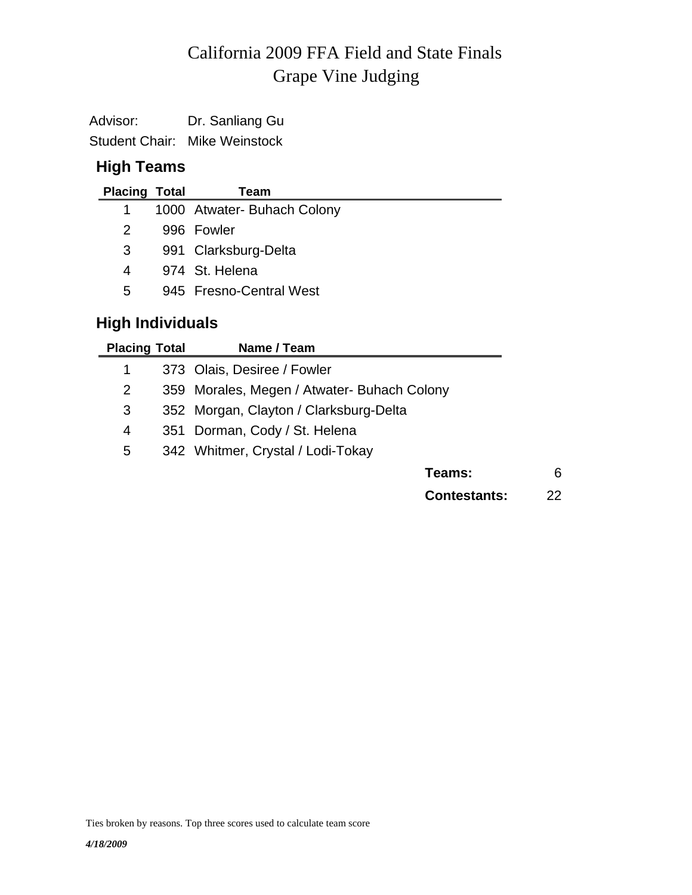# Grape Vine Judging California 2009 FFA Field and State Finals

Advisor: Dr. Sanliang Gu Student Chair: Mike Weinstock

## **High Teams**

| <b>Placing Total</b> | Team                        |
|----------------------|-----------------------------|
| 1.                   | 1000 Atwater- Buhach Colony |
| $\mathcal{P}$        | 996 Fowler                  |
| 3                    | 991 Clarksburg-Delta        |
| 4                    | 974 St. Helena              |
| 5                    | 945 Fresno-Central West     |

# **High Individuals**

| <b>Placing Total</b> | Name / Team                                 |   |
|----------------------|---------------------------------------------|---|
| 1                    | 373 Olais, Desiree / Fowler                 |   |
| 2                    | 359 Morales, Megen / Atwater- Buhach Colony |   |
| 3                    | 352 Morgan, Clayton / Clarksburg-Delta      |   |
| 4                    | 351 Dorman, Cody / St. Helena               |   |
| 5                    | 342 Whitmer, Crystal / Lodi-Tokay           |   |
|                      | Teams:                                      | 6 |
|                      |                                             |   |

**Contestants:** 22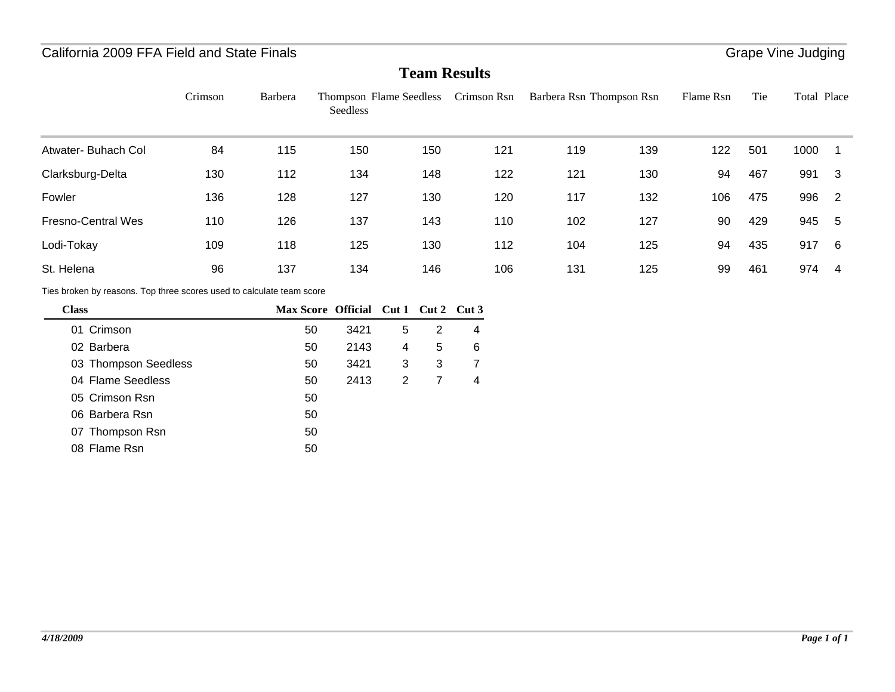### California 2009 FFA Field and State Finals

#### **Team Results**

|                                                                       | Crimson | Barbera                  | Thompson Flame Seedless Crimson Rsn<br>Seedless |                |                |                |     | Barbera Rsn Thompson Rsn |     | Flame Rsn | Tie | Total Place |                |
|-----------------------------------------------------------------------|---------|--------------------------|-------------------------------------------------|----------------|----------------|----------------|-----|--------------------------|-----|-----------|-----|-------------|----------------|
| Atwater- Buhach Col                                                   | 84      | 115                      | 150                                             |                | 150            |                | 121 | 119                      | 139 | 122       | 501 | 1000        | 1              |
| Clarksburg-Delta                                                      | 130     | 112                      | 134                                             |                | 148            |                | 122 | 121                      | 130 | 94        | 467 | 991         | 3              |
| Fowler                                                                | 136     | 128                      | 127                                             |                | 130            |                | 120 | 117                      | 132 | 106       | 475 | 996         | $\overline{2}$ |
| <b>Fresno-Central Wes</b>                                             | 110     | 126                      | 137                                             |                | 143            |                | 110 | 102                      | 127 | 90        | 429 | 945         | 5              |
| Lodi-Tokay                                                            | 109     | 118                      | 125                                             |                | 130            |                | 112 | 104                      | 125 | 94        | 435 | 917         | 6              |
| St. Helena                                                            | 96      | 137                      | 134                                             |                | 146            |                | 106 | 131                      | 125 | 99        | 461 | 974         | $\overline{4}$ |
| Ties broken by reasons. Top three scores used to calculate team score |         |                          |                                                 |                |                |                |     |                          |     |           |     |             |                |
| <b>Class</b>                                                          |         | Max Score Official Cut 1 |                                                 |                |                | Cut 2 Cut 3    |     |                          |     |           |     |             |                |
| 01 Crimson                                                            |         | 50                       | 3421                                            | 5              | 2              | 4              |     |                          |     |           |     |             |                |
| 02 Barbera                                                            |         | 50                       | 2143                                            | 4              | 5              | 6              |     |                          |     |           |     |             |                |
| 03 Thompson Seedless                                                  |         | 50                       | 3421                                            | 3              | 3              | $\overline{7}$ |     |                          |     |           |     |             |                |
| 04 Flame Seedless                                                     |         | 50                       | 2413                                            | $\overline{2}$ | $\overline{7}$ | $\overline{4}$ |     |                          |     |           |     |             |                |
| 05 Crimson Rsn                                                        |         | 50                       |                                                 |                |                |                |     |                          |     |           |     |             |                |
| 06 Barbera Rsn                                                        |         | 50                       |                                                 |                |                |                |     |                          |     |           |     |             |                |
| 07 Thompson Rsn                                                       |         | 50                       |                                                 |                |                |                |     |                          |     |           |     |             |                |
| 08 Flame Rsn                                                          |         | 50                       |                                                 |                |                |                |     |                          |     |           |     |             |                |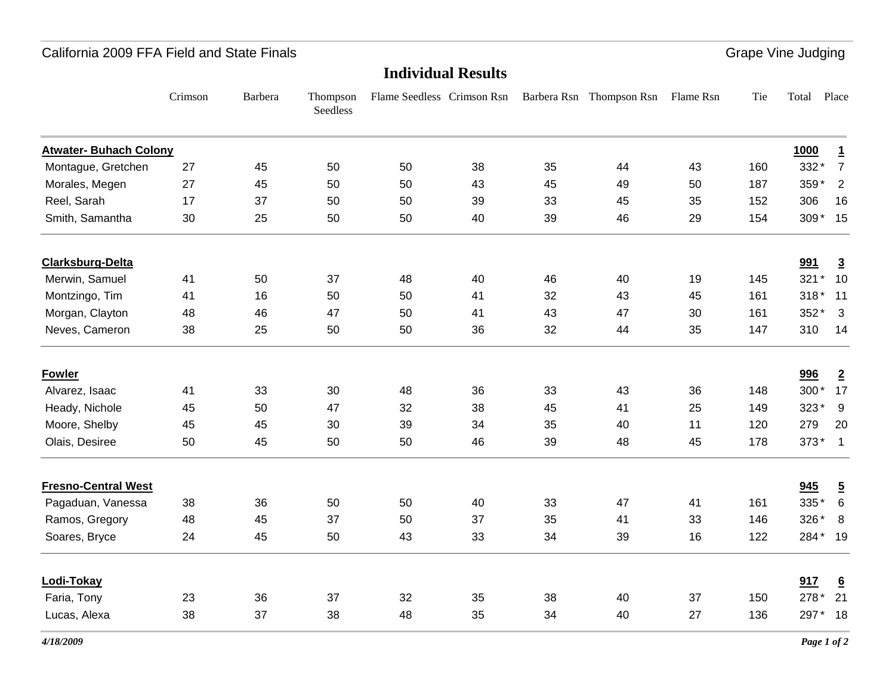#### California 2009 FFA Field and State Finals

Grape Vine Judging

#### **Individual Results**

|                               | Crimson | Barbera | Thompson<br>Seedless | Flame Seedless Crimson Rsn |    |    | Barbera Rsn Thompson Rsn | Flame Rsn | Tie | Total       | Place           |
|-------------------------------|---------|---------|----------------------|----------------------------|----|----|--------------------------|-----------|-----|-------------|-----------------|
| <b>Atwater- Buhach Colony</b> |         |         |                      |                            |    |    |                          |           |     | <b>1000</b> | $\overline{1}$  |
| Montague, Gretchen            | 27      | 45      | 50                   | 50                         | 38 | 35 | 44                       | 43        | 160 | 332*        | $\overline{7}$  |
| Morales, Megen                | 27      | 45      | 50                   | 50                         | 43 | 45 | 49                       | 50        | 187 | 359*        | $\overline{2}$  |
| Reel, Sarah                   | 17      | 37      | 50                   | 50                         | 39 | 33 | 45                       | 35        | 152 | 306         | 16              |
| Smith, Samantha               | 30      | 25      | 50                   | 50                         | 40 | 39 | 46                       | 29        | 154 | 309* 15     |                 |
| <b>Clarksburg-Delta</b>       |         |         |                      |                            |    |    |                          |           |     | 991         | $\overline{3}$  |
| Merwin, Samuel                | 41      | 50      | 37                   | 48                         | 40 | 46 | 40                       | 19        | 145 | 321* 10     |                 |
| Montzingo, Tim                | 41      | 16      | 50                   | 50                         | 41 | 32 | 43                       | 45        | 161 | 318* 11     |                 |
| Morgan, Clayton               | 48      | 46      | 47                   | 50                         | 41 | 43 | 47                       | 30        | 161 | $352*3$     |                 |
| Neves, Cameron                | 38      | 25      | 50                   | 50                         | 36 | 32 | 44                       | 35        | 147 | 310         | 14              |
| <b>Fowler</b>                 |         |         |                      |                            |    |    |                          |           |     | 996         | $\overline{2}$  |
| Alvarez, Isaac                | 41      | 33      | 30                   | 48                         | 36 | 33 | 43                       | 36        | 148 | 300* 17     |                 |
| Heady, Nichole                | 45      | 50      | 47                   | 32                         | 38 | 45 | 41                       | 25        | 149 | $323*$      | 9               |
| Moore, Shelby                 | 45      | 45      | 30                   | 39                         | 34 | 35 | 40                       | 11        | 120 | 279         | 20              |
| Olais, Desiree                | 50      | 45      | 50                   | 50                         | 46 | 39 | 48                       | 45        | 178 | $373*1$     |                 |
| <b>Fresno-Central West</b>    |         |         |                      |                            |    |    |                          |           |     | 945         | $\overline{5}$  |
| Pagaduan, Vanessa             | 38      | 36      | 50                   | 50                         | 40 | 33 | 47                       | 41        | 161 | $335*6$     |                 |
| Ramos, Gregory                | 48      | 45      | 37                   | 50                         | 37 | 35 | 41                       | 33        | 146 | 326*        | 8               |
| Soares, Bryce                 | 24      | 45      | 50                   | 43                         | 33 | 34 | 39                       | 16        | 122 | 284* 19     |                 |
| Lodi-Tokay                    |         |         |                      |                            |    |    |                          |           |     | 917         | $\underline{6}$ |
| Faria, Tony                   | 23      | 36      | 37                   | 32                         | 35 | 38 | 40                       | 37        | 150 | 278* 21     |                 |
| Lucas, Alexa                  | 38      | 37      | 38                   | 48                         | 35 | 34 | 40                       | 27        | 136 | 297*        | 18              |